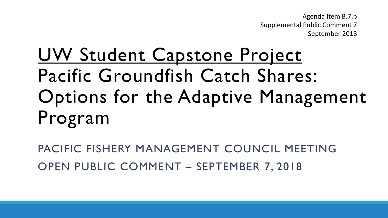Agenda Item B.7.b Supplemental Public Comment 7 September 2018

## UW Student Capstone Project Pacific Groundfish Catch Shares: Options for the Adaptive Management Program

PACIFIC FISHERY MANAGEMENT COUNCIL MEETING OPEN PUBLIC COMMENT – SEPTEMBER 7, 2018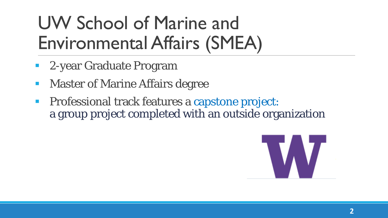## UW School of Marine and Environmental Affairs (SMEA)

- 2-year Graduate Program
- Master of Marine Affairs degree
- **Professional track features a capstone project:** a group project completed with an outside organization

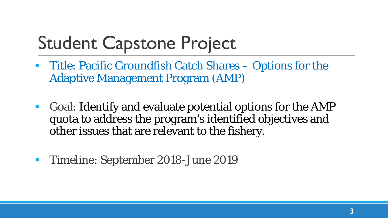### Student Capstone Project

- **Title: Pacific Groundfish Catch Shares Options for the** Adaptive Management Program (AMP)
- Goal: Identify and evaluate potential options for the AMP quota to address the program's identified objectives and other issues that are relevant to the fishery.
- **Timeline: September 2018-June 2019**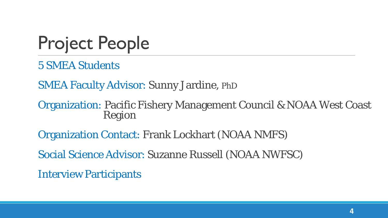### Project People

5 SMEA Students

SMEA Faculty Advisor: Sunny Jardine, PhD

Organization: Pacific Fishery Management Council & NOAA West Coast Region

Organization Contact: Frank Lockhart (NOAA NMFS)

Social Science Advisor: Suzanne Russell (NOAA NWFSC)

Interview Participants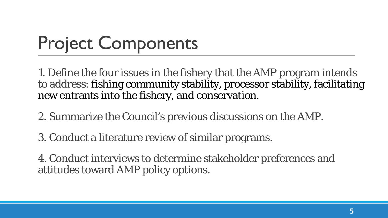# Project Components

1. Define the four issues in the fishery that the AMP program intends to address: fishing community stability, processor stability, facilitating new entrants into the fishery, and conservation.

2. Summarize the Council's previous discussions on the AMP.

3. Conduct a literature review of similar programs.

4. Conduct interviews to determine stakeholder preferences and attitudes toward AMP policy options.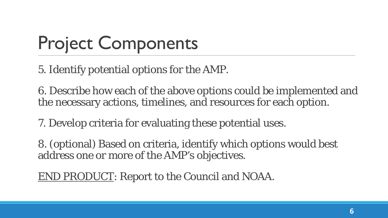# Project Components

5. Identify potential options for the AMP.

6. Describe how each of the above options could be implemented and the necessary actions, timelines, and resources for each option.

7. Develop criteria for evaluating these potential uses.

8. (optional) Based on criteria, identify which options would best address one or more of the AMP's objectives.

END PRODUCT: Report to the Council and NOAA.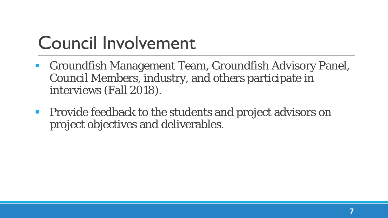### Council Involvement

- Groundfish Management Team, Groundfish Advisory Panel, Council Members, industry, and others participate in interviews (Fall 2018).
- **Provide feedback to the students and project advisors on** project objectives and deliverables.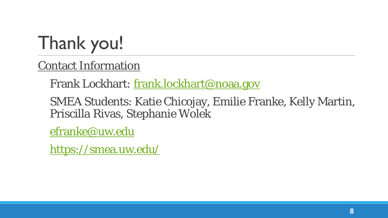## Thank you!

Contact Information

Frank Lockhart: [frank.lockhart@noaa.gov](mailto:frank.lockhart@noaa.gov)

SMEA Students: Katie Chicojay, Emilie Franke, Kelly Martin, Priscilla Rivas, Stephanie Wolek

[efranke@uw.edu](mailto:efranke@uw.edu)

<https://smea.uw.edu/>